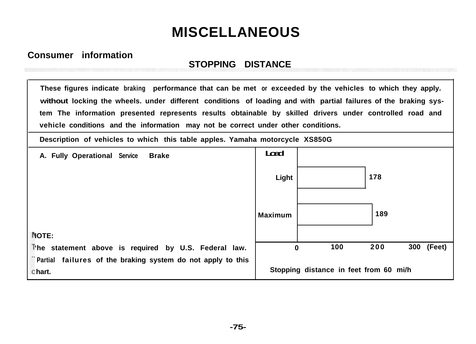## **MISCELLANEOUS**

## **Consumer information**

## **STOPPING DISTANCE**

**These figures indicate braking performance that can be met or exceeded by the vehicles to which they apply. without locking the wheels. under different conditions of loading and with partial failures of the braking system The information presented represents results obtainable by skilled drivers under controlled road and vehicle conditions and the information may not be correct under other conditions.**

**Description of vehicles to which this table apples. Yamaha motorcycle XS850G**

**A. Fully Operational Service Brake Load Light 178 Maximum 189 IOTE: 'he statement above is required by U.S. Federal law. 0 100 200 300 (Feet) Partial failures of the braking system do not apply to this hart. Stopping distance in feet from 60 mi/h**